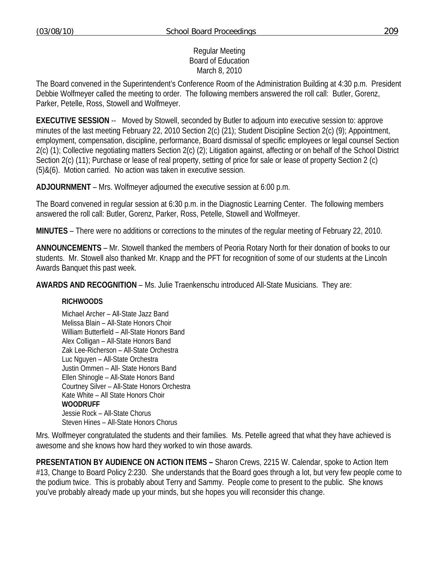# Regular Meeting Board of Education March 8, 2010

The Board convened in the Superintendent's Conference Room of the Administration Building at 4:30 p.m. President Debbie Wolfmeyer called the meeting to order. The following members answered the roll call: Butler, Gorenz, Parker, Petelle, Ross, Stowell and Wolfmeyer.

**EXECUTIVE SESSION** -- Moved by Stowell, seconded by Butler to adjourn into executive session to: approve minutes of the last meeting February 22, 2010 Section 2(c) (21); Student Discipline Section 2(c) (9); Appointment, employment, compensation, discipline, performance, Board dismissal of specific employees or legal counsel Section 2(c) (1); Collective negotiating matters Section 2(c) (2); Litigation against, affecting or on behalf of the School District Section 2(c) (11); Purchase or lease of real property, setting of price for sale or lease of property Section 2 (c) (5)&(6). Motion carried. No action was taken in executive session.

**ADJOURNMENT** – Mrs. Wolfmeyer adjourned the executive session at 6:00 p.m.

The Board convened in regular session at 6:30 p.m. in the Diagnostic Learning Center. The following members answered the roll call: Butler, Gorenz, Parker, Ross, Petelle, Stowell and Wolfmeyer.

**MINUTES** – There were no additions or corrections to the minutes of the regular meeting of February 22, 2010.

**ANNOUNCEMENTS** – Mr. Stowell thanked the members of Peoria Rotary North for their donation of books to our students. Mr. Stowell also thanked Mr. Knapp and the PFT for recognition of some of our students at the Lincoln Awards Banquet this past week.

**AWARDS AND RECOGNITION** – Ms. Julie Traenkenschu introduced All-State Musicians. They are:

# **RICHWOODS**

Michael Archer – All-State Jazz Band Melissa Blain – All-State Honors Choir William Butterfield – All-State Honors Band Alex Colligan – All-State Honors Band Zak Lee-Richerson – All-State Orchestra Luc Nguyen – All-State Orchestra Justin Ommen – All- State Honors Band Ellen Shinogle – All-State Honors Band Courtney Silver – All-State Honors Orchestra Kate White – All State Honors Choir **WOODRUFF**  Jessie Rock – All-State Chorus Steven Hines – All-State Honors Chorus

Mrs. Wolfmeyer congratulated the students and their families. Ms. Petelle agreed that what they have achieved is awesome and she knows how hard they worked to win those awards.

**PRESENTATION BY AUDIENCE ON ACTION ITEMS –** Sharon Crews, 2215 W. Calendar, spoke to Action Item #13, Change to Board Policy 2:230. She understands that the Board goes through a lot, but very few people come to the podium twice. This is probably about Terry and Sammy. People come to present to the public. She knows you've probably already made up your minds, but she hopes you will reconsider this change.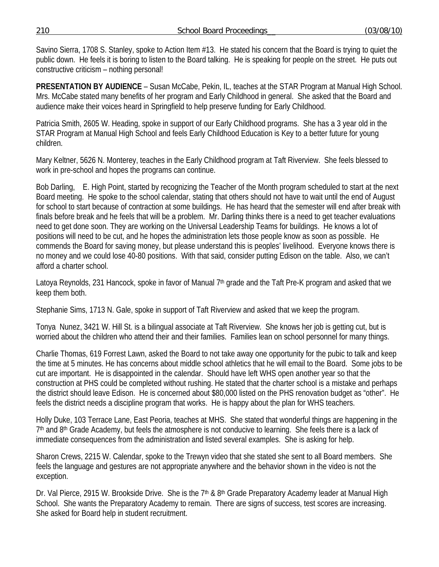210 School Board Proceedings\_\_ (03/08/10)

Savino Sierra, 1708 S. Stanley, spoke to Action Item #13. He stated his concern that the Board is trying to quiet the public down. He feels it is boring to listen to the Board talking. He is speaking for people on the street. He puts out constructive criticism – nothing personal!

**PRESENTATION BY AUDIENCE** – Susan McCabe, Pekin, IL, teaches at the STAR Program at Manual High School. Mrs. McCabe stated many benefits of her program and Early Childhood in general. She asked that the Board and audience make their voices heard in Springfield to help preserve funding for Early Childhood.

Patricia Smith, 2605 W. Heading, spoke in support of our Early Childhood programs. She has a 3 year old in the STAR Program at Manual High School and feels Early Childhood Education is Key to a better future for young children.

Mary Keltner, 5626 N. Monterey, teaches in the Early Childhood program at Taft Riverview. She feels blessed to work in pre-school and hopes the programs can continue.

Bob Darling, E. High Point, started by recognizing the Teacher of the Month program scheduled to start at the next Board meeting. He spoke to the school calendar, stating that others should not have to wait until the end of August for school to start because of contraction at some buildings. He has heard that the semester will end after break with finals before break and he feels that will be a problem. Mr. Darling thinks there is a need to get teacher evaluations need to get done soon. They are working on the Universal Leadership Teams for buildings. He knows a lot of positions will need to be cut, and he hopes the administration lets those people know as soon as possible. He commends the Board for saving money, but please understand this is peoples' livelihood. Everyone knows there is no money and we could lose 40-80 positions. With that said, consider putting Edison on the table. Also, we can't afford a charter school.

Latoya Reynolds, 231 Hancock, spoke in favor of Manual 7<sup>th</sup> grade and the Taft Pre-K program and asked that we keep them both.

Stephanie Sims, 1713 N. Gale, spoke in support of Taft Riverview and asked that we keep the program.

Tonya Nunez, 3421 W. Hill St. is a bilingual associate at Taft Riverview. She knows her job is getting cut, but is worried about the children who attend their and their families. Families lean on school personnel for many things.

Charlie Thomas, 619 Forrest Lawn, asked the Board to not take away one opportunity for the pubic to talk and keep the time at 5 minutes. He has concerns about middle school athletics that he will email to the Board. Some jobs to be cut are important. He is disappointed in the calendar. Should have left WHS open another year so that the construction at PHS could be completed without rushing. He stated that the charter school is a mistake and perhaps the district should leave Edison. He is concerned about \$80,000 listed on the PHS renovation budget as "other". He feels the district needs a discipline program that works. He is happy about the plan for WHS teachers.

Holly Duke, 103 Terrace Lane, East Peoria, teaches at MHS. She stated that wonderful things are happening in the 7<sup>th</sup> and 8<sup>th</sup> Grade Academy, but feels the atmosphere is not conducive to learning. She feels there is a lack of immediate consequences from the administration and listed several examples. She is asking for help.

Sharon Crews, 2215 W. Calendar, spoke to the Trewyn video that she stated she sent to all Board members. She feels the language and gestures are not appropriate anywhere and the behavior shown in the video is not the exception.

Dr. Val Pierce, 2915 W. Brookside Drive. She is the 7<sup>th</sup> & 8<sup>th</sup> Grade Preparatory Academy leader at Manual High School. She wants the Preparatory Academy to remain. There are signs of success, test scores are increasing. She asked for Board help in student recruitment.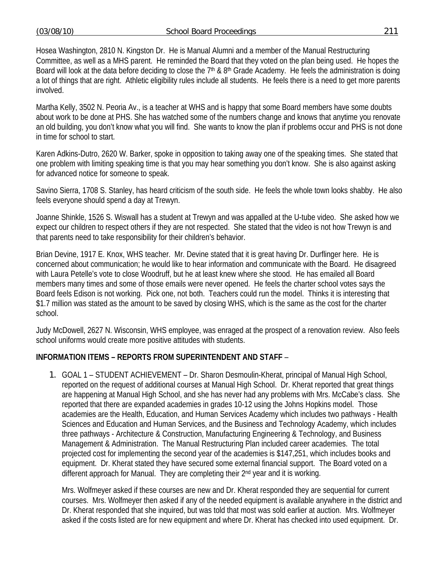Hosea Washington, 2810 N. Kingston Dr. He is Manual Alumni and a member of the Manual Restructuring Committee, as well as a MHS parent. He reminded the Board that they voted on the plan being used. He hopes the Board will look at the data before deciding to close the  $7<sup>th</sup>$  &  $8<sup>th</sup>$  Grade Academy. He feels the administration is doing a lot of things that are right. Athletic eligibility rules include all students. He feels there is a need to get more parents involved.

Martha Kelly, 3502 N. Peoria Av., is a teacher at WHS and is happy that some Board members have some doubts about work to be done at PHS. She has watched some of the numbers change and knows that anytime you renovate an old building, you don't know what you will find. She wants to know the plan if problems occur and PHS is not done in time for school to start.

Karen Adkins-Dutro, 2620 W. Barker, spoke in opposition to taking away one of the speaking times. She stated that one problem with limiting speaking time is that you may hear something you don't know. She is also against asking for advanced notice for someone to speak.

Savino Sierra, 1708 S. Stanley, has heard criticism of the south side. He feels the whole town looks shabby. He also feels everyone should spend a day at Trewyn.

Joanne Shinkle, 1526 S. Wiswall has a student at Trewyn and was appalled at the U-tube video. She asked how we expect our children to respect others if they are not respected. She stated that the video is not how Trewyn is and that parents need to take responsibility for their children's behavior.

Brian Devine, 1917 E. Knox, WHS teacher. Mr. Devine stated that it is great having Dr. Durflinger here. He is concerned about communication; he would like to hear information and communicate with the Board. He disagreed with Laura Petelle's vote to close Woodruff, but he at least knew where she stood. He has emailed all Board members many times and some of those emails were never opened. He feels the charter school votes says the Board feels Edison is not working. Pick one, not both. Teachers could run the model. Thinks it is interesting that \$1.7 million was stated as the amount to be saved by closing WHS, which is the same as the cost for the charter school.

Judy McDowell, 2627 N. Wisconsin, WHS employee, was enraged at the prospect of a renovation review. Also feels school uniforms would create more positive attitudes with students.

# **INFORMATION ITEMS – REPORTS FROM SUPERINTENDENT AND STAFF** –

1. GOAL 1 – STUDENT ACHIEVEMENT – Dr. Sharon Desmoulin-Kherat, principal of Manual High School, reported on the request of additional courses at Manual High School. Dr. Kherat reported that great things are happening at Manual High School, and she has never had any problems with Mrs. McCabe's class. She reported that there are expanded academies in grades 10-12 using the Johns Hopkins model. Those academies are the Health, Education, and Human Services Academy which includes two pathways - Health Sciences and Education and Human Services, and the Business and Technology Academy, which includes three pathways - Architecture & Construction, Manufacturing Engineering & Technology, and Business Management & Administration. The Manual Restructuring Plan included career academies. The total projected cost for implementing the second year of the academies is \$147,251, which includes books and equipment. Dr. Kherat stated they have secured some external financial support. The Board voted on a different approach for Manual. They are completing their 2<sup>nd</sup> year and it is working.

Mrs. Wolfmeyer asked if these courses are new and Dr. Kherat responded they are sequential for current courses. Mrs. Wolfmeyer then asked if any of the needed equipment is available anywhere in the district and Dr. Kherat responded that she inquired, but was told that most was sold earlier at auction. Mrs. Wolfmeyer asked if the costs listed are for new equipment and where Dr. Kherat has checked into used equipment. Dr.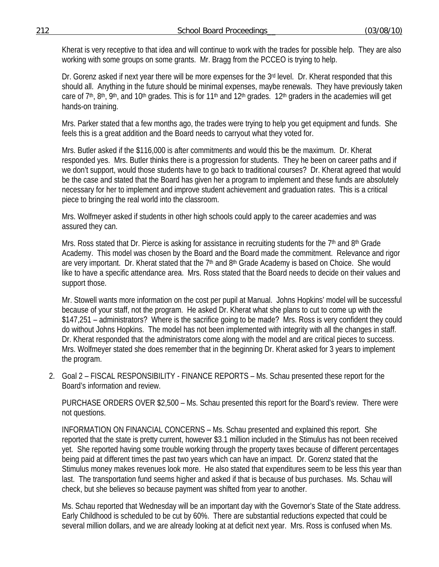Kherat is very receptive to that idea and will continue to work with the trades for possible help. They are also working with some groups on some grants. Mr. Bragg from the PCCEO is trying to help.

Dr. Gorenz asked if next year there will be more expenses for the 3<sup>rd</sup> level. Dr. Kherat responded that this should all. Anything in the future should be minimal expenses, maybe renewals. They have previously taken care of 7<sup>th</sup>, 8<sup>th</sup>, 9<sup>th</sup>, and 10<sup>th</sup> grades. This is for 11<sup>th</sup> and 12<sup>th</sup> grades. 12<sup>th</sup> graders in the academies will get hands-on training.

Mrs. Parker stated that a few months ago, the trades were trying to help you get equipment and funds. She feels this is a great addition and the Board needs to carryout what they voted for.

Mrs. Butler asked if the \$116,000 is after commitments and would this be the maximum. Dr. Kherat responded yes. Mrs. Butler thinks there is a progression for students. They he been on career paths and if we don't support, would those students have to go back to traditional courses? Dr. Kherat agreed that would be the case and stated that the Board has given her a program to implement and these funds are absolutely necessary for her to implement and improve student achievement and graduation rates. This is a critical piece to bringing the real world into the classroom.

Mrs. Wolfmeyer asked if students in other high schools could apply to the career academies and was assured they can.

Mrs. Ross stated that Dr. Pierce is asking for assistance in recruiting students for the 7<sup>th</sup> and 8<sup>th</sup> Grade Academy. This model was chosen by the Board and the Board made the commitment. Relevance and rigor are very important. Dr. Kherat stated that the 7<sup>th</sup> and 8<sup>th</sup> Grade Academy is based on Choice. She would like to have a specific attendance area. Mrs. Ross stated that the Board needs to decide on their values and support those.

Mr. Stowell wants more information on the cost per pupil at Manual. Johns Hopkins' model will be successful because of your staff, not the program. He asked Dr. Kherat what she plans to cut to come up with the \$147,251 – administrators? Where is the sacrifice going to be made? Mrs. Ross is very confident they could do without Johns Hopkins. The model has not been implemented with integrity with all the changes in staff. Dr. Kherat responded that the administrators come along with the model and are critical pieces to success. Mrs. Wolfmeyer stated she does remember that in the beginning Dr. Kherat asked for 3 years to implement the program.

2. Goal 2 – FISCAL RESPONSIBILITY - FINANCE REPORTS – Ms. Schau presented these report for the Board's information and review.

PURCHASE ORDERS OVER \$2,500 – Ms. Schau presented this report for the Board's review. There were not questions.

INFORMATION ON FINANCIAL CONCERNS – Ms. Schau presented and explained this report. She reported that the state is pretty current, however \$3.1 million included in the Stimulus has not been received yet. She reported having some trouble working through the property taxes because of different percentages being paid at different times the past two years which can have an impact. Dr. Gorenz stated that the Stimulus money makes revenues look more. He also stated that expenditures seem to be less this year than last. The transportation fund seems higher and asked if that is because of bus purchases. Ms. Schau will check, but she believes so because payment was shifted from year to another.

Ms. Schau reported that Wednesday will be an important day with the Governor's State of the State address. Early Childhood is scheduled to be cut by 60%. There are substantial reductions expected that could be several million dollars, and we are already looking at at deficit next year. Mrs. Ross is confused when Ms.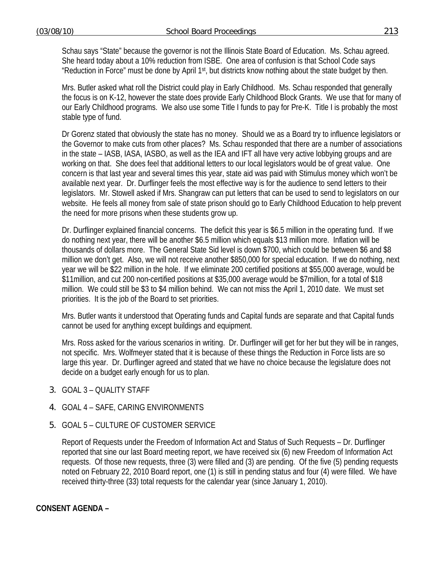Schau says "State" because the governor is not the Illinois State Board of Education. Ms. Schau agreed. She heard today about a 10% reduction from ISBE. One area of confusion is that School Code says "Reduction in Force" must be done by April 1st, but districts know nothing about the state budget by then.

Mrs. Butler asked what roll the District could play in Early Childhood. Ms. Schau responded that generally the focus is on K-12, however the state does provide Early Childhood Block Grants. We use that for many of our Early Childhood programs. We also use some Title I funds to pay for Pre-K. Title I is probably the most stable type of fund.

Dr Gorenz stated that obviously the state has no money. Should we as a Board try to influence legislators or the Governor to make cuts from other places? Ms. Schau responded that there are a number of associations in the state – IASB, IASA, IASBO, as well as the IEA and IFT all have very active lobbying groups and are working on that. She does feel that additional letters to our local legislators would be of great value. One concern is that last year and several times this year, state aid was paid with Stimulus money which won't be available next year. Dr. Durflinger feels the most effective way is for the audience to send letters to their legislators. Mr. Stowell asked if Mrs. Shangraw can put letters that can be used to send to legislators on our website. He feels all money from sale of state prison should go to Early Childhood Education to help prevent the need for more prisons when these students grow up.

Dr. Durflinger explained financial concerns. The deficit this year is \$6.5 million in the operating fund. If we do nothing next year, there will be another \$6.5 million which equals \$13 million more. Inflation will be thousands of dollars more. The General State Sid level is down \$700, which could be between \$6 and \$8 million we don't get. Also, we will not receive another \$850,000 for special education. If we do nothing, next year we will be \$22 million in the hole. If we eliminate 200 certified positions at \$55,000 average, would be \$11million, and cut 200 non-certified positions at \$35,000 average would be \$7million, for a total of \$18 million. We could still be \$3 to \$4 million behind. We can not miss the April 1, 2010 date. We must set priorities. It is the job of the Board to set priorities.

Mrs. Butler wants it understood that Operating funds and Capital funds are separate and that Capital funds cannot be used for anything except buildings and equipment.

Mrs. Ross asked for the various scenarios in writing. Dr. Durflinger will get for her but they will be in ranges, not specific. Mrs. Wolfmeyer stated that it is because of these things the Reduction in Force lists are so large this year. Dr. Durflinger agreed and stated that we have no choice because the legislature does not decide on a budget early enough for us to plan.

- 3. GOAL 3 QUALITY STAFF
- 4. GOAL 4 SAFE, CARING ENVIRONMENTS
- 5. GOAL 5 CULTURE OF CUSTOMER SERVICE

Report of Requests under the Freedom of Information Act and Status of Such Requests – Dr. Durflinger reported that sine our last Board meeting report, we have received six (6) new Freedom of Information Act requests. Of those new requests, three (3) were filled and (3) are pending. Of the five (5) pending requests noted on February 22, 2010 Board report, one (1) is still in pending status and four (4) were filled. We have received thirty-three (33) total requests for the calendar year (since January 1, 2010).

# **CONSENT AGENDA –**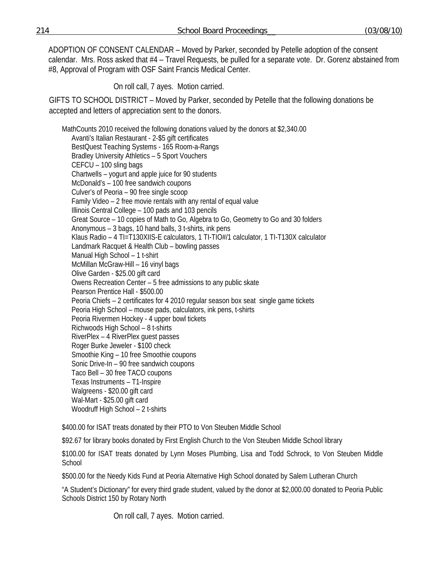ADOPTION OF CONSENT CALENDAR – Moved by Parker, seconded by Petelle adoption of the consent calendar. Mrs. Ross asked that #4 – Travel Requests, be pulled for a separate vote. Dr. Gorenz abstained from #8, Approval of Program with OSF Saint Francis Medical Center.

On roll call, 7 ayes. Motion carried.

GIFTS TO SCHOOL DISTRICT – Moved by Parker, seconded by Petelle that the following donations be accepted and letters of appreciation sent to the donors.

 MathCounts 2010 received the following donations valued by the donors at \$2,340.00 Avanti's Italian Restaurant - 2-\$5 gift certificates BestQuest Teaching Systems - 165 Room-a-Rangs Bradley University Athletics – 5 Sport Vouchers CEFCU – 100 sling bags Chartwells – yogurt and apple juice for 90 students McDonald's – 100 free sandwich coupons Culver's of Peoria – 90 free single scoop Family Video – 2 free movie rentals with any rental of equal value Illinois Central College – 100 pads and 103 pencils Great Source – 10 copies of Math to Go, Algebra to Go, Geometry to Go and 30 folders Anonymous – 3 bags, 10 hand balls, 3 t-shirts, ink pens Klaus Radio – 4 TI=T130XIIS-E calculators, 1 TI-TIO#/1 calculator, 1 TI-T130X calculator Landmark Racquet & Health Club – bowling passes Manual High School – 1 t-shirt McMillan McGraw-Hill – 16 vinyl bags Olive Garden - \$25.00 gift card Owens Recreation Center – 5 free admissions to any public skate Pearson Prentice Hall - \$500.00 Peoria Chiefs – 2 certificates for 4 2010 regular season box seat single game tickets Peoria High School – mouse pads, calculators, ink pens, t-shirts Peoria Rivermen Hockey - 4 upper bowl tickets Richwoods High School – 8 t-shirts RiverPlex – 4 RiverPlex guest passes Roger Burke Jeweler - \$100 check Smoothie King – 10 free Smoothie coupons Sonic Drive-In – 90 free sandwich coupons Taco Bell – 30 free TACO coupons Texas Instruments – T1-Inspire Walgreens - \$20.00 gift card Wal-Mart - \$25.00 gift card Woodruff High School – 2 t-shirts

\$400.00 for ISAT treats donated by their PTO to Von Steuben Middle School

\$92.67 for library books donated by First English Church to the Von Steuben Middle School library

\$100.00 for ISAT treats donated by Lynn Moses Plumbing, Lisa and Todd Schrock, to Von Steuben Middle School

\$500.00 for the Needy Kids Fund at Peoria Alternative High School donated by Salem Lutheran Church

"A Student's Dictionary" for every third grade student, valued by the donor at \$2,000.00 donated to Peoria Public Schools District 150 by Rotary North

On roll call, 7 ayes. Motion carried.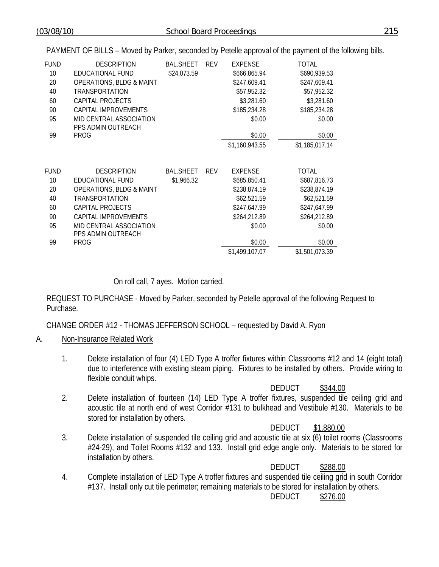PAYMENT OF BILLS – Moved by Parker, seconded by Petelle approval of the payment of the following bills.

| <b>FUND</b><br>10<br>20<br>40<br>60<br>90<br>95<br>99 | <b>DESCRIPTION</b><br>EDUCATIONAL FUND<br><b>OPERATIONS, BLDG &amp; MAINT</b><br><b>TRANSPORTATION</b><br>CAPITAL PROJECTS<br>CAPITAL IMPROVEMENTS<br>MID CENTRAL ASSOCIATION<br>PPS ADMIN OUTREACH<br><b>PROG</b> | <b>BAL.SHEET</b><br>\$24,073.59 | <b>REV</b> | <b>EXPENSE</b><br>\$666,865.94<br>\$247,609.41<br>\$57,952.32<br>\$3,281.60<br>\$185,234.28<br>\$0.00<br>\$0.00<br>\$1,160,943.55 | TOTAL<br>\$690,939.53<br>\$247,609.41<br>\$57,952.32<br>\$3,281.60<br>\$185,234.28<br>\$0.00<br>\$0.00<br>\$1,185,017.14 |
|-------------------------------------------------------|--------------------------------------------------------------------------------------------------------------------------------------------------------------------------------------------------------------------|---------------------------------|------------|-----------------------------------------------------------------------------------------------------------------------------------|--------------------------------------------------------------------------------------------------------------------------|
| <b>FUND</b><br>10<br>20<br>40<br>60<br>90<br>95       | <b>DESCRIPTION</b><br>EDUCATIONAL FUND<br><b>OPERATIONS, BLDG &amp; MAINT</b><br><b>TRANSPORTATION</b><br>CAPITAL PROJECTS<br>CAPITAL IMPROVEMENTS<br>MID CENTRAL ASSOCIATION<br>PPS ADMIN OUTREACH                | <b>BAL.SHEET</b><br>\$1,966.32  | <b>REV</b> | EXPENSE<br>\$685,850.41<br>\$238,874.19<br>\$62,521.59<br>\$247,647.99<br>\$264,212.89<br>\$0.00                                  | TOTAL<br>\$687,816.73<br>\$238,874.19<br>\$62,521.59<br>\$247,647.99<br>\$264,212.89<br>\$0.00                           |
| 99                                                    | <b>PROG</b>                                                                                                                                                                                                        |                                 |            | \$0.00<br>\$1,499,107.07                                                                                                          | \$0.00<br>\$1,501,073.39                                                                                                 |

# On roll call, 7 ayes. Motion carried.

REQUEST TO PURCHASE - Moved by Parker, seconded by Petelle approval of the following Request to Purchase.

CHANGE ORDER #12 - THOMAS JEFFERSON SCHOOL – requested by David A. Ryon

# A. Non-Insurance Related Work

1. Delete installation of four (4) LED Type A troffer fixtures within Classrooms #12 and 14 (eight total) due to interference with existing steam piping. Fixtures to be installed by others. Provide wiring to flexible conduit whips.

DEDUCT \$344.00

2. Delete installation of fourteen (14) LED Type A troffer fixtures, suspended tile ceiling grid and acoustic tile at north end of west Corridor #131 to bulkhead and Vestibule #130. Materials to be stored for installation by others.

DEDUCT \$1,880.00

3. Delete installation of suspended tile ceiling grid and acoustic tile at six (6) toilet rooms (Classrooms #24-29), and Toilet Rooms #132 and 133. Install grid edge angle only. Materials to be stored for installation by others.

DEDUCT \$288.00

4. Complete installation of LED Type A troffer fixtures and suspended tile ceiling grid in south Corridor #137. Install only cut tile perimeter; remaining materials to be stored for installation by others.

DEDUCT \$276.00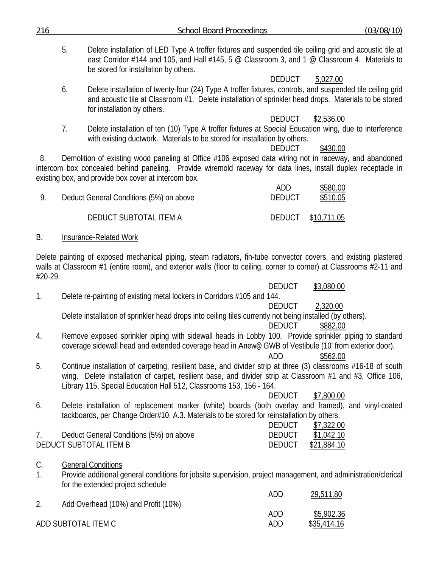| 216      |    | <b>School Board Proceedings</b>                                                                                                                                                                                                                                                                    |                                | (03/08/10)                |
|----------|----|----------------------------------------------------------------------------------------------------------------------------------------------------------------------------------------------------------------------------------------------------------------------------------------------------|--------------------------------|---------------------------|
|          | 5. | Delete installation of LED Type A troffer fixtures and suspended tile ceiling grid and acoustic tile at<br>east Corridor #144 and 105, and Hall #145, 5 @ Classroom 3, and 1 @ Classroom 4. Materials to<br>be stored for installation by others.                                                  |                                |                           |
|          | 6. | Delete installation of twenty-four (24) Type A troffer fixtures, controls, and suspended tile ceiling grid<br>and acoustic tile at Classroom #1. Delete installation of sprinkler head drops. Materials to be stored<br>for installation by others.                                                | <b>DEDUCT</b>                  | 5,027.00                  |
|          | 7. | Delete installation of ten (10) Type A troffer fixtures at Special Education wing, due to interference<br>with existing ductwork. Materials to be stored for installation by others.                                                                                                               | <b>DEDUCT</b><br><b>DEDUCT</b> | \$2,536.00<br>\$430.00    |
| 8.       |    | Demolition of existing wood paneling at Office #106 exposed data wiring not in raceway, and abandoned<br>intercom box concealed behind paneling. Provide wiremold raceway for data lines, install duplex receptacle in<br>existing box, and provide box cover at intercom box.                     |                                |                           |
| 9.       |    | Deduct General Conditions (5%) on above                                                                                                                                                                                                                                                            | ADD<br><b>DEDUCT</b>           | \$580.00<br>\$510.05      |
|          |    | DEDUCT SUBTOTAL ITEM A                                                                                                                                                                                                                                                                             | <b>DEDUCT</b>                  | \$10,711.05               |
| В.       |    | Insurance-Related Work                                                                                                                                                                                                                                                                             |                                |                           |
| #20-29.  |    | Delete painting of exposed mechanical piping, steam radiators, fin-tube convector covers, and existing plastered<br>walls at Classroom #1 (entire room), and exterior walls (floor to ceiling, corner to corner) at Classrooms #2-11 and                                                           |                                |                           |
| 1.       |    | Delete re-painting of existing metal lockers in Corridors #105 and 144.                                                                                                                                                                                                                            | <b>DEDUCT</b><br><b>DEDUCT</b> | \$3,080.00<br>2,320.00    |
|          |    | Delete installation of sprinkler head drops into ceiling tiles currently not being installed (by others).                                                                                                                                                                                          | <b>DEDUCT</b>                  | \$882.00                  |
| 4.       |    | Remove exposed sprinkler piping with sidewall heads in Lobby 100. Provide sprinkler piping to standard<br>coverage sidewall head and extended coverage head in Anew@ GWB of Vestibule (10' from exterior door).                                                                                    | ADD                            | \$562.00                  |
| 5.       |    | Continue installation of carpeting, resilient base, and divider strip at three (3) classrooms #16-18 of south<br>wing. Delete installation of carpet, resilient base, and divider strip at Classroom #1 and #3, Office 106,<br>Library 115, Special Education Hall 512, Classrooms 153, 156 - 164. | <b>DEDUCT</b>                  |                           |
| 6.       |    | Delete installation of replacement marker (white) boards (both overlay and framed), and vinyl-coated<br>tackboards, per Change Order#10, A.3. Materials to be stored for reinstallation by others.                                                                                                 | <b>DEDUCT</b>                  | \$7,800.00<br>\$7,322.00  |
| 7.       |    | Deduct General Conditions (5%) on above<br>DEDUCT SUBTOTAL ITEM B                                                                                                                                                                                                                                  | <b>DEDUCT</b><br><b>DEDUCT</b> | \$1,042.10<br>\$21,884.10 |
| C.<br>1. |    | <b>General Conditions</b><br>Provide additional general conditions for jobsite supervision, project management, and administration/clerical<br>for the extended project schedule                                                                                                                   |                                |                           |
| 2.       |    | Add Overhead (10%) and Profit (10%)                                                                                                                                                                                                                                                                | ADD                            | 29,511.80                 |
|          |    | ADD SUBTOTAL ITEM C                                                                                                                                                                                                                                                                                | ADD<br>ADD                     | \$5,902.36<br>\$35,414.16 |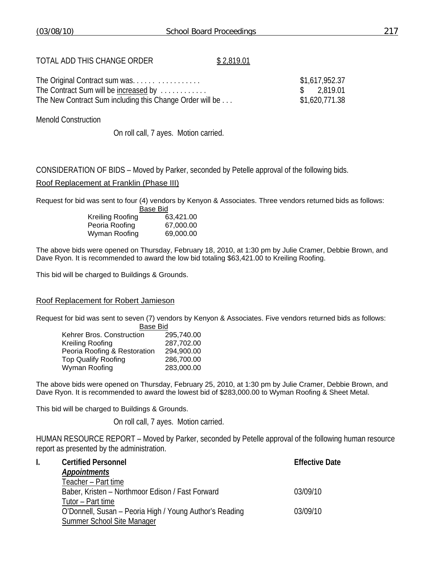# TOTAL ADD THIS CHANGE ORDER \$2,819.01

| The Original Contract sum was                            | \$1,617,952.37 |
|----------------------------------------------------------|----------------|
| The Contract Sum will be increased by                    | \$2.819.01     |
| The New Contract Sum including this Change Order will be | \$1,620,771.38 |

Menold Construction

On roll call, 7 ayes. Motion carried.

CONSIDERATION OF BIDS – Moved by Parker, seconded by Petelle approval of the following bids.

#### Roof Replacement at Franklin (Phase III)

Request for bid was sent to four (4) vendors by Kenyon & Associates. Three vendors returned bids as follows:

|                         | Base Bid  |  |
|-------------------------|-----------|--|
| <b>Kreiling Roofing</b> | 63,421.00 |  |
| Peoria Roofing          | 67,000.00 |  |
| Wyman Roofing           | 69,000.00 |  |

The above bids were opened on Thursday, February 18, 2010, at 1:30 pm by Julie Cramer, Debbie Brown, and Dave Ryon. It is recommended to award the low bid totaling \$63,421.00 to Kreiling Roofing.

This bid will be charged to Buildings & Grounds.

#### Roof Replacement for Robert Jamieson

Request for bid was sent to seven (7) vendors by Kenyon & Associates. Five vendors returned bids as follows: Base Bid

| שוש טשש                      |            |
|------------------------------|------------|
| Kehrer Bros. Construction    | 295.740.00 |
| Kreiling Roofing             | 287,702.00 |
| Peoria Roofing & Restoration | 294,900.00 |
| <b>Top Qualify Roofing</b>   | 286,700.00 |
| Wyman Roofing                | 283,000.00 |
|                              |            |

The above bids were opened on Thursday, February 25, 2010, at 1:30 pm by Julie Cramer, Debbie Brown, and Dave Ryon. It is recommended to award the lowest bid of \$283,000.00 to Wyman Roofing & Sheet Metal.

This bid will be charged to Buildings & Grounds.

On roll call, 7 ayes. Motion carried.

HUMAN RESOURCE REPORT – Moved by Parker, seconded by Petelle approval of the following human resource report as presented by the administration.

| <b>Certified Personnel</b>                              | <b>Effective Date</b> |
|---------------------------------------------------------|-----------------------|
| <b>Appointments</b>                                     |                       |
| Teacher - Part time                                     |                       |
| Baber, Kristen – Northmoor Edison / Fast Forward        | 03/09/10              |
| Tutor - Part time                                       |                       |
| O'Donnell, Susan – Peoria High / Young Author's Reading | 03/09/10              |
| Summer School Site Manager                              |                       |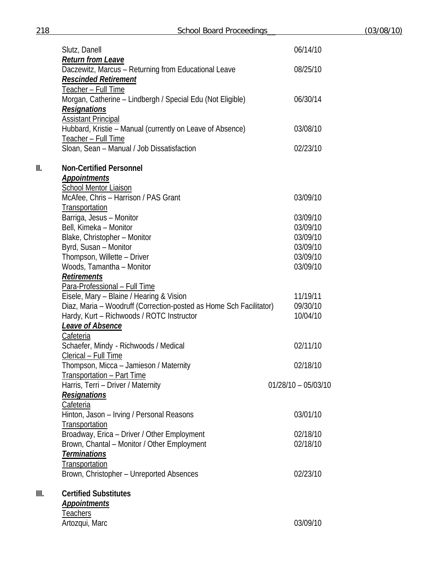|      | Slutz, Danell                                                                                                   | 06/14/10              |
|------|-----------------------------------------------------------------------------------------------------------------|-----------------------|
|      | <b>Return from Leave</b><br>Daczewitz, Marcus - Returning from Educational Leave<br><b>Rescinded Retirement</b> | 08/25/10              |
|      | Teacher – Full Time<br>Morgan, Catherine – Lindbergh / Special Edu (Not Eligible)<br><b>Resignations</b>        | 06/30/14              |
|      | <b>Assistant Principal</b><br>Hubbard, Kristie - Manual (currently on Leave of Absence)<br>Teacher - Full Time  | 03/08/10              |
|      | Sloan, Sean - Manual / Job Dissatisfaction                                                                      | 02/23/10              |
| II.  | <b>Non-Certified Personnel</b><br><b>Appointments</b><br><b>School Mentor Liaison</b>                           |                       |
|      | McAfee, Chris - Harrison / PAS Grant<br>Transportation                                                          | 03/09/10              |
|      | Barriga, Jesus - Monitor                                                                                        | 03/09/10              |
|      | Bell, Kimeka - Monitor                                                                                          | 03/09/10              |
|      | Blake, Christopher - Monitor                                                                                    | 03/09/10              |
|      | Byrd, Susan - Monitor                                                                                           | 03/09/10              |
|      | Thompson, Willette - Driver                                                                                     | 03/09/10              |
|      | Woods, Tamantha - Monitor                                                                                       | 03/09/10              |
|      | <b>Retirements</b>                                                                                              |                       |
|      |                                                                                                                 |                       |
|      | Para-Professional - Full Time                                                                                   |                       |
|      | Eisele, Mary - Blaine / Hearing & Vision                                                                        | 11/19/11              |
|      | Diaz, Maria - Woodruff (Correction-posted as Home Sch Facilitator)                                              | 09/30/10              |
|      | Hardy, Kurt - Richwoods / ROTC Instructor                                                                       | 10/04/10              |
|      | Leave of Absence                                                                                                |                       |
|      | Cafeteria                                                                                                       |                       |
|      | Schaefer, Mindy - Richwoods / Medical                                                                           | 02/11/10              |
|      | Clerical - Full Time                                                                                            |                       |
|      | Thompson, Micca - Jamieson / Maternity                                                                          | 02/18/10              |
|      | Transportation - Part Time                                                                                      |                       |
|      | Harris, Terri - Driver / Maternity                                                                              | $01/28/10 - 05/03/10$ |
|      | <b>Resignations</b>                                                                                             |                       |
|      | Cafeteria                                                                                                       |                       |
|      | Hinton, Jason - Irving / Personal Reasons                                                                       | 03/01/10              |
|      | Transportation                                                                                                  |                       |
|      | Broadway, Erica - Driver / Other Employment                                                                     | 02/18/10              |
|      | Brown, Chantal - Monitor / Other Employment                                                                     | 02/18/10              |
|      | <b>Terminations</b>                                                                                             |                       |
|      | Transportation                                                                                                  |                       |
|      |                                                                                                                 | 02/23/10              |
|      | Brown, Christopher - Unreported Absences                                                                        |                       |
| III. | <b>Certified Substitutes</b>                                                                                    |                       |
|      | <b>Appointments</b>                                                                                             |                       |
|      | <b>Teachers</b>                                                                                                 |                       |
|      | Artozqui, Marc                                                                                                  | 03/09/10              |
|      |                                                                                                                 |                       |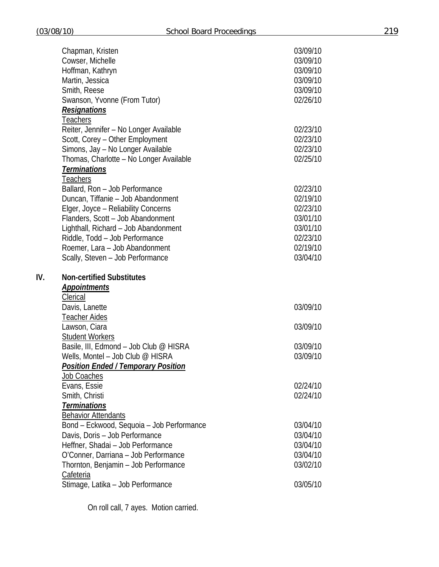|     | Chapman, Kristen                            | 03/09/10 |
|-----|---------------------------------------------|----------|
|     | Cowser, Michelle                            | 03/09/10 |
|     | Hoffman, Kathryn                            | 03/09/10 |
|     | Martin, Jessica                             | 03/09/10 |
|     | Smith, Reese                                | 03/09/10 |
|     | Swanson, Yvonne (From Tutor)                | 02/26/10 |
|     | <b>Resignations</b>                         |          |
|     | Teachers                                    |          |
|     | Reiter, Jennifer - No Longer Available      | 02/23/10 |
|     | Scott, Corey - Other Employment             | 02/23/10 |
|     | Simons, Jay - No Longer Available           | 02/23/10 |
|     | Thomas, Charlotte - No Longer Available     | 02/25/10 |
|     | <b>Terminations</b>                         |          |
|     | Teachers                                    |          |
|     | Ballard, Ron - Job Performance              | 02/23/10 |
|     | Duncan, Tiffanie - Job Abandonment          | 02/19/10 |
|     | Elger, Joyce - Reliability Concerns         | 02/23/10 |
|     | Flanders, Scott - Job Abandonment           | 03/01/10 |
|     | Lighthall, Richard - Job Abandonment        | 03/01/10 |
|     | Riddle, Todd - Job Performance              | 02/23/10 |
|     | Roemer, Lara - Job Abandonment              | 02/19/10 |
|     | Scally, Steven - Job Performance            | 03/04/10 |
|     |                                             |          |
|     |                                             |          |
| IV. | <b>Non-certified Substitutes</b>            |          |
|     | <b>Appointments</b>                         |          |
|     | Clerical                                    |          |
|     | Davis, Lanette                              | 03/09/10 |
|     | <b>Teacher Aides</b>                        |          |
|     | Lawson, Ciara                               | 03/09/10 |
|     | <b>Student Workers</b>                      |          |
|     | Basile, III, Edmond - Job Club @ HISRA      | 03/09/10 |
|     | Wells, Montel - Job Club @ HISRA            | 03/09/10 |
|     | <u> Position Ended / Temporary Position</u> |          |
|     | <b>Job Coaches</b>                          |          |
|     | Evans, Essie                                | 02/24/10 |
|     | Smith, Christi                              | 02/24/10 |
|     | <b>Terminations</b>                         |          |
|     | <b>Behavior Attendants</b>                  |          |
|     | Bond - Eckwood, Sequoia - Job Performance   | 03/04/10 |
|     | Davis, Doris - Job Performance              | 03/04/10 |
|     | Heffner, Shadai - Job Performance           | 03/04/10 |
|     | O'Conner, Darriana - Job Performance        | 03/04/10 |
|     | Thornton, Benjamin - Job Performance        | 03/02/10 |
|     | Cafeteria                                   |          |
|     | Stimage, Latika - Job Performance           | 03/05/10 |

On roll call, 7 ayes. Motion carried.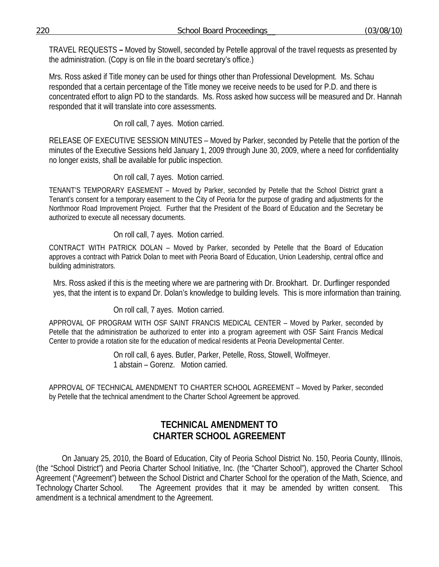TRAVEL REQUESTS **–** Moved by Stowell, seconded by Petelle approval of the travel requests as presented by the administration. (Copy is on file in the board secretary's office.)

Mrs. Ross asked if Title money can be used for things other than Professional Development. Ms. Schau responded that a certain percentage of the Title money we receive needs to be used for P.D. and there is concentrated effort to align PD to the standards. Ms. Ross asked how success will be measured and Dr. Hannah responded that it will translate into core assessments.

On roll call, 7 ayes. Motion carried.

RELEASE OF EXECUTIVE SESSION MINUTES – Moved by Parker, seconded by Petelle that the portion of the minutes of the Executive Sessions held January 1, 2009 through June 30, 2009, where a need for confidentiality no longer exists, shall be available for public inspection.

On roll call, 7 ayes. Motion carried.

TENANT'S TEMPORARY EASEMENT – Moved by Parker, seconded by Petelle that the School District grant a Tenant's consent for a temporary easement to the City of Peoria for the purpose of grading and adjustments for the Northmoor Road Improvement Project. Further that the President of the Board of Education and the Secretary be authorized to execute all necessary documents.

# On roll call, 7 ayes. Motion carried.

CONTRACT WITH PATRICK DOLAN – Moved by Parker, seconded by Petelle that the Board of Education approves a contract with Patrick Dolan to meet with Peoria Board of Education, Union Leadership, central office and building administrators.

Mrs. Ross asked if this is the meeting where we are partnering with Dr. Brookhart. Dr. Durflinger responded yes, that the intent is to expand Dr. Dolan's knowledge to building levels. This is more information than training.

On roll call, 7 ayes. Motion carried.

APPROVAL OF PROGRAM WITH OSF SAINT FRANCIS MEDICAL CENTER – Moved by Parker, seconded by Petelle that the administration be authorized to enter into a program agreement with OSF Saint Francis Medical Center to provide a rotation site for the education of medical residents at Peoria Developmental Center.

> On roll call, 6 ayes. Butler, Parker, Petelle, Ross, Stowell, Wolfmeyer. 1 abstain – Gorenz. Motion carried.

APPROVAL OF TECHNICAL AMENDMENT TO CHARTER SCHOOL AGREEMENT – Moved by Parker, seconded by Petelle that the technical amendment to the Charter School Agreement be approved.

# **TECHNICAL AMENDMENT TO CHARTER SCHOOL AGREEMENT**

 On January 25, 2010, the Board of Education, City of Peoria School District No. 150, Peoria County, Illinois, (the "School District") and Peoria Charter School Initiative, Inc. (the "Charter School"), approved the Charter School Agreement ("Agreement") between the School District and Charter School for the operation of the Math, Science, and Technology Charter School. The Agreement provides that it may be amended by written consent. This amendment is a technical amendment to the Agreement.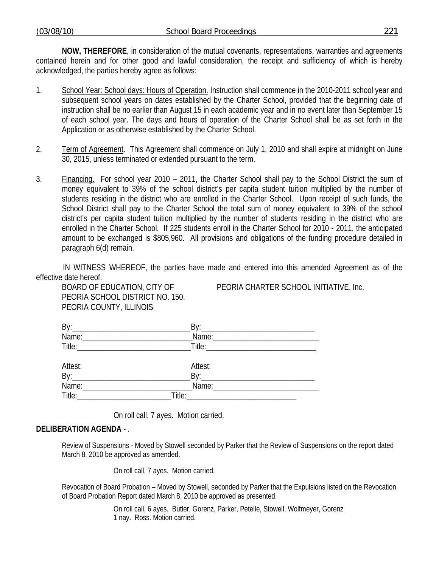**NOW, THEREFORE**, in consideration of the mutual covenants, representations, warranties and agreements contained herein and for other good and lawful consideration, the receipt and sufficiency of which is hereby acknowledged, the parties hereby agree as follows:

- 1. School Year: School days: Hours of Operation. Instruction shall commence in the 2010-2011 school year and subsequent school years on dates established by the Charter School, provided that the beginning date of instruction shall be no earlier than August 15 in each academic year and in no event later than September 15 of each school year. The days and hours of operation of the Charter School shall be as set forth in the Application or as otherwise established by the Charter School.
- 2. Term of Agreement. This Agreement shall commence on July 1, 2010 and shall expire at midnight on June 30, 2015, unless terminated or extended pursuant to the term.
- 3. Financing. For school year 2010 2011, the Charter School shall pay to the School District the sum of money equivalent to 39% of the school district's per capita student tuition multiplied by the number of students residing in the district who are enrolled in the Charter School. Upon receipt of such funds, the School District shall pay to the Charter School the total sum of money equivalent to 39% of the school district's per capita student tuition multiplied by the number of students residing in the district who are enrolled in the Charter School. If 225 students enroll in the Charter School for 2010 - 2011, the anticipated amount to be exchanged is \$805,960. All provisions and obligations of the funding procedure detailed in paragraph 6(d) remain.

IN WITNESS WHEREOF, the parties have made and entered into this amended Agreement as of the effective date hereof.

PEORIA SCHOOL DISTRICT NO. 150, PEORIA COUNTY, ILLINOIS

BOARD OF EDUCATION, CITY OF PEORIA CHARTER SCHOOL INITIATIVE, Inc.

| Attest:     | Attest:                                                                                                       |  |
|-------------|---------------------------------------------------------------------------------------------------------------|--|
|             |                                                                                                               |  |
| Name: Name: |                                                                                                               |  |
|             | Title: 2008 - 2008 - 2014 - 2014 - 2014 - 2014 - 2014 - 2014 - 2014 - 2014 - 2014 - 2014 - 2014 - 2014 - 2014 |  |

On roll call, 7 ayes. Motion carried.

# **DELIBERATION AGENDA** - .

Review of Suspensions - Moved by Stowell seconded by Parker that the Review of Suspensions on the report dated March 8, 2010 be approved as amended.

On roll call, 7 ayes. Motion carried.

Revocation of Board Probation – Moved by Stowell, seconded by Parker that the Expulsions listed on the Revocation of Board Probation Report dated March 8, 2010 be approved as presented.

> On roll call, 6 ayes. Butler, Gorenz, Parker, Petelle, Stowell, Wolfmeyer, Gorenz 1 nay. Ross. Motion carried.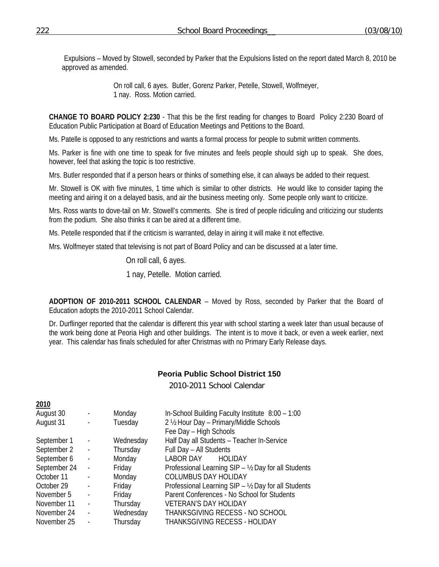Expulsions – Moved by Stowell, seconded by Parker that the Expulsions listed on the report dated March 8, 2010 be approved as amended.

> On roll call, 6 ayes. Butler, Gorenz Parker, Petelle, Stowell, Wolfmeyer, 1 nay. Ross. Motion carried.

**CHANGE TO BOARD POLICY 2:230** - That this be the first reading for changes to Board Policy 2:230 Board of Education Public Participation at Board of Education Meetings and Petitions to the Board.

Ms. Patelle is opposed to any restrictions and wants a formal process for people to submit written comments.

Ms. Parker is fine with one time to speak for five minutes and feels people should sigh up to speak. She does, however, feel that asking the topic is too restrictive.

Mrs. Butler responded that if a person hears or thinks of something else, it can always be added to their request.

Mr. Stowell is OK with five minutes, 1 time which is similar to other districts. He would like to consider taping the meeting and airing it on a delayed basis, and air the business meeting only. Some people only want to criticize.

Mrs. Ross wants to dove-tail on Mr. Stowell's comments. She is tired of people ridiculing and criticizing our students from the podium. She also thinks it can be aired at a different time.

Ms. Petelle responded that if the criticism is warranted, delay in airing it will make it not effective.

Mrs. Wolfmeyer stated that televising is not part of Board Policy and can be discussed at a later time.

On roll call, 6 ayes.

1 nay, Petelle. Motion carried.

**ADOPTION OF 2010-2011 SCHOOL CALENDAR** – Moved by Ross, seconded by Parker that the Board of Education adopts the 2010-2011 School Calendar.

Dr. Durflinger reported that the calendar is different this year with school starting a week later than usual because of the work being done at Peoria High and other buildings. The intent is to move it back, or even a week earlier, next year. This calendar has finals scheduled for after Christmas with no Primary Early Release days.

# **Peoria Public School District 150**

2010-2011 School Calendar

| $-0.0$       |                          |           |                                                      |
|--------------|--------------------------|-----------|------------------------------------------------------|
| August 30    | $\blacksquare$           | Monday    | In-School Building Faculty Institute 8:00 - 1:00     |
| August 31    | $\overline{\phantom{a}}$ | Tuesday   | 2 1/2 Hour Day - Primary/Middle Schools              |
|              |                          |           | Fee Day - High Schools                               |
| September 1  | $\sim$ $\sim$            | Wednesday | Half Day all Students - Teacher In-Service           |
| September 2  | $\overline{\phantom{a}}$ | Thursday  | Full Day - All Students                              |
| September 6  | $\mathbb{L}$             | Monday    | <b>LABOR DAY</b><br><b>HOLIDAY</b>                   |
| September 24 | $\sim$                   | Friday    | Professional Learning SIP - 1/2 Day for all Students |
| October 11   | $\overline{\phantom{a}}$ | Monday    | <b>COLUMBUS DAY HOLIDAY</b>                          |
| October 29   | $\overline{\phantom{a}}$ | Friday    | Professional Learning SIP - 1/2 Day for all Students |
| November 5   | $\overline{\phantom{a}}$ | Friday    | Parent Conferences - No School for Students          |
| November 11  | $\overline{\phantom{a}}$ | Thursday  | <b>VETERAN'S DAY HOLIDAY</b>                         |
| November 24  | $\sim$                   | Wednesday | THANKSGIVING RECESS - NO SCHOOL                      |
| November 25  | $\blacksquare$           | Thursday  | <b>THANKSGIVING RECESS - HOLIDAY</b>                 |
|              |                          |           |                                                      |

**2010**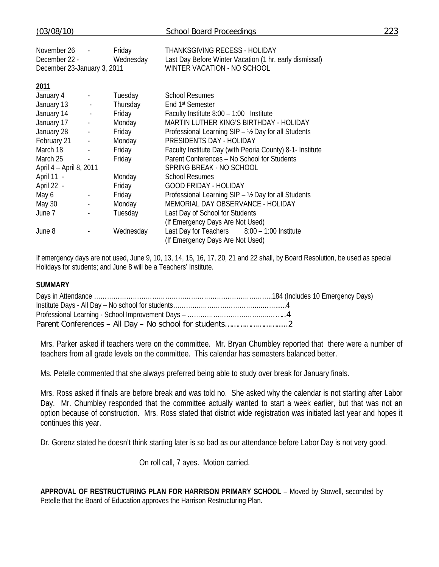| (03/08/10)                                                  |                          |                     | <b>School Board Proceedings</b>                                                                                                | 223 |
|-------------------------------------------------------------|--------------------------|---------------------|--------------------------------------------------------------------------------------------------------------------------------|-----|
| November 26<br>December 22 -<br>December 23-January 3, 2011 |                          | Friday<br>Wednesday | <b>THANKSGIVING RECESS - HOLIDAY</b><br>Last Day Before Winter Vacation (1 hr. early dismissal)<br>WINTER VACATION - NO SCHOOL |     |
| 2011                                                        |                          |                     |                                                                                                                                |     |
| January 4                                                   | $\overline{\phantom{a}}$ | Tuesday             | <b>School Resumes</b>                                                                                                          |     |
| January 13                                                  | $\pm$                    | Thursday            | End 1 <sup>st</sup> Semester                                                                                                   |     |
| January 14                                                  | $\overline{\phantom{a}}$ | Friday              | Faculty Institute $8:00 - 1:00$ Institute                                                                                      |     |
| January 17                                                  | $\omega_{\rm c}$         | Monday              | MARTIN LUTHER KING'S BIRTHDAY - HOLIDAY                                                                                        |     |
| January 28                                                  | $\omega_{\rm c}$         | Friday              | Professional Learning SIP - 1/2 Day for all Students                                                                           |     |
| February 21                                                 | $\overline{\phantom{a}}$ | Monday              | PRESIDENTS DAY - HOLIDAY                                                                                                       |     |
| March 18                                                    | $\frac{1}{2}$            | Friday              | Faculty Institute Day (with Peoria County) 8-1- Institute                                                                      |     |
| March 25                                                    | $\overline{\phantom{a}}$ | Friday              | Parent Conferences - No School for Students                                                                                    |     |
| April 4 - April 8, 2011                                     |                          |                     | SPRING BREAK - NO SCHOOL                                                                                                       |     |
| April 11 -                                                  |                          | Monday              | <b>School Resumes</b>                                                                                                          |     |
| April 22 -                                                  |                          | Friday              | <b>GOOD FRIDAY - HOLIDAY</b>                                                                                                   |     |
| May 6                                                       | $\blacksquare$           | Friday              | Professional Learning SIP - 1/2 Day for all Students                                                                           |     |
| May 30                                                      | $\blacksquare$           | Monday              | MEMORIAL DAY OBSERVANCE - HOLIDAY                                                                                              |     |
| June 7                                                      | $\overline{\phantom{a}}$ | Tuesday             | Last Day of School for Students                                                                                                |     |
|                                                             |                          |                     | (If Emergency Days Are Not Used)                                                                                               |     |
| June 8                                                      |                          | Wednesday           | Last Day for Teachers 8:00 - 1:00 Institute                                                                                    |     |
|                                                             |                          |                     | (If Emergency Days Are Not Used)                                                                                               |     |

If emergency days are not used, June 9, 10, 13, 14, 15, 16, 17, 20, 21 and 22 shall, by Board Resolution, be used as special Holidays for students; and June 8 will be a Teachers' Institute.

### **SUMMARY**

Mrs. Parker asked if teachers were on the committee. Mr. Bryan Chumbley reported that there were a number of teachers from all grade levels on the committee. This calendar has semesters balanced better.

Ms. Petelle commented that she always preferred being able to study over break for January finals.

Mrs. Ross asked if finals are before break and was told no. She asked why the calendar is not starting after Labor Day. Mr. Chumbley responded that the committee actually wanted to start a week earlier, but that was not an option because of construction. Mrs. Ross stated that district wide registration was initiated last year and hopes it continues this year.

Dr. Gorenz stated he doesn't think starting later is so bad as our attendance before Labor Day is not very good.

On roll call, 7 ayes. Motion carried.

**APPROVAL OF RESTRUCTURING PLAN FOR HARRISON PRIMARY SCHOOL** – Moved by Stowell, seconded by Petelle that the Board of Education approves the Harrison Restructuring Plan.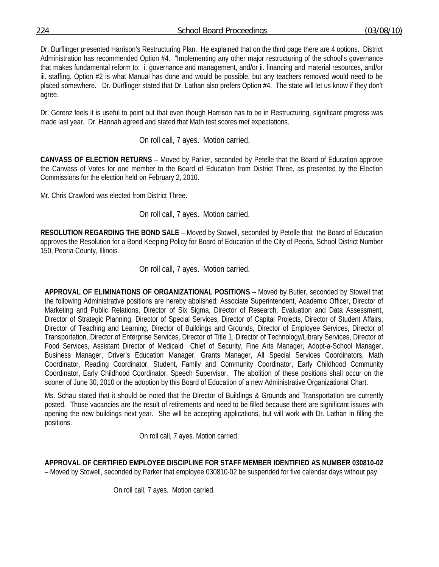Dr. Durflinger presented Harrison's Restructuring Plan. He explained that on the third page there are 4 options. District Administration has recommended Option #4. "Implementing any other major restructuring of the school's governance that makes fundamental reform to: i. governance and management, and/or ii. financing and material resources, and/or iii. staffing. Option #2 is what Manual has done and would be possible, but any teachers removed would need to be placed somewhere. Dr. Durflinger stated that Dr. Lathan also prefers Option #4. The state will let us know if they don't agree.

Dr. Gorenz feels it is useful to point out that even though Harrison has to be in Restructuring, significant progress was made last year. Dr. Hannah agreed and stated that Math test scores met expectations.

On roll call, 7 ayes. Motion carried.

**CANVASS OF ELECTION RETURNS** – Moved by Parker, seconded by Petelle that the Board of Education approve the Canvass of Votes for one member to the Board of Education from District Three, as presented by the Election Commissions for the election held on February 2, 2010.

Mr. Chris Crawford was elected from District Three.

On roll call, 7 ayes. Motion carried.

**RESOLUTION REGARDING THE BOND SALE** – Moved by Stowell, seconded by Petelle that the Board of Education approves the Resolution for a Bond Keeping Policy for Board of Education of the City of Peoria, School District Number 150, Peoria County, Illinois.

On roll call, 7 ayes. Motion carried.

**APPROVAL OF ELIMINATIONS OF ORGANIZATIONAL POSITIONS** – Moved by Butler, seconded by Stowell that the following Administrative positions are hereby abolished: Associate Superintendent, Academic Officer, Director of Marketing and Public Relations, Director of Six Sigma, Director of Research, Evaluation and Data Assessment, Director of Strategic Planning, Director of Special Services, Director of Capital Projects, Director of Student Affairs, Director of Teaching and Learning, Director of Buildings and Grounds, Director of Employee Services, Director of Transportation, Director of Enterprise Services, Director of Title 1, Director of Technology/Library Services, Director of Food Services, Assistant Director of Medicaid Chief of Security, Fine Arts Manager, Adopt-a-School Manager, Business Manager, Driver's Education Manager, Grants Manager, All Special Services Coordinators, Math Coordinator, Reading Coordinator, Student, Family and Community Coordinator, Early Childhood Community Coordinator, Early Childhood Coordinator, Speech Supervisor. The abolition of these positions shall occur on the sooner of June 30, 2010 or the adoption by this Board of Education of a new Administrative Organizational Chart.

Ms. Schau stated that it should be noted that the Director of Buildings & Grounds and Transportation are currently posted. Those vacancies are the result of retirements and need to be filled because there are significant issues with opening the new buildings next year. She will be accepting applications, but will work with Dr. Lathan in filling the positions.

On roll call, 7 ayes. Motion carried.

**APPROVAL OF CERTIFIED EMPLOYEE DISCIPLINE FOR STAFF MEMBER IDENTIFIED AS NUMBER 030810-02**  – Moved by Stowell, seconded by Parker that employee 030810-02 be suspended for five calendar days without pay.

On roll call, 7 ayes. Motion carried.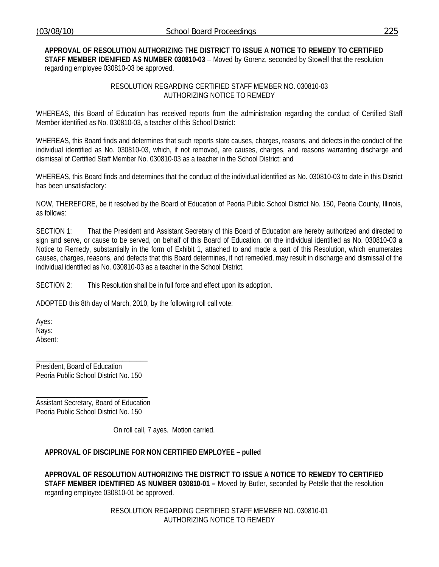#### **APPROVAL OF RESOLUTION AUTHORIZING THE DISTRICT TO ISSUE A NOTICE TO REMEDY TO CERTIFIED STAFF MEMBER IDENIFIED AS NUMBER 030810-03** – Moved by Gorenz, seconded by Stowell that the resolution regarding employee 030810-03 be approved.

### RESOLUTION REGARDING CERTIFIED STAFF MEMBER NO. 030810-03 AUTHORIZING NOTICE TO REMEDY

WHEREAS, this Board of Education has received reports from the administration regarding the conduct of Certified Staff Member identified as No. 030810-03, a teacher of this School District:

WHEREAS, this Board finds and determines that such reports state causes, charges, reasons, and defects in the conduct of the individual identified as No. 030810-03, which, if not removed, are causes, charges, and reasons warranting discharge and dismissal of Certified Staff Member No. 030810-03 as a teacher in the School District: and

WHEREAS, this Board finds and determines that the conduct of the individual identified as No. 030810-03 to date in this District has been unsatisfactory:

NOW, THEREFORE, be it resolved by the Board of Education of Peoria Public School District No. 150, Peoria County, Illinois, as follows:

SECTION 1: That the President and Assistant Secretary of this Board of Education are hereby authorized and directed to sign and serve, or cause to be served, on behalf of this Board of Education, on the individual identified as No. 030810-03 a Notice to Remedy, substantially in the form of Exhibit 1, attached to and made a part of this Resolution, which enumerates causes, charges, reasons, and defects that this Board determines, if not remedied, may result in discharge and dismissal of the individual identified as No. 030810-03 as a teacher in the School District.

SECTION 2: This Resolution shall be in full force and effect upon its adoption.

ADOPTED this 8th day of March, 2010, by the following roll call vote:

Ayes: Nays: Absent:

President, Board of Education Peoria Public School District No. 150

\_\_\_\_\_\_\_\_\_\_\_\_\_\_\_\_\_\_\_\_\_\_\_\_\_\_\_\_\_\_\_

\_\_\_\_\_\_\_\_\_\_\_\_\_\_\_\_\_\_\_\_\_\_\_\_\_\_\_\_\_\_\_ Assistant Secretary, Board of Education Peoria Public School District No. 150

On roll call, 7 ayes. Motion carried.

# **APPROVAL OF DISCIPLINE FOR NON CERTIFIED EMPLOYEE – pulled**

**APPROVAL OF RESOLUTION AUTHORIZING THE DISTRICT TO ISSUE A NOTICE TO REMEDY TO CERTIFIED STAFF MEMBER IDENTIFIED AS NUMBER 030810-01 –** Moved by Butler, seconded by Petelle that the resolution regarding employee 030810-01 be approved.

> RESOLUTION REGARDING CERTIFIED STAFF MEMBER NO. 030810-01 AUTHORIZING NOTICE TO REMEDY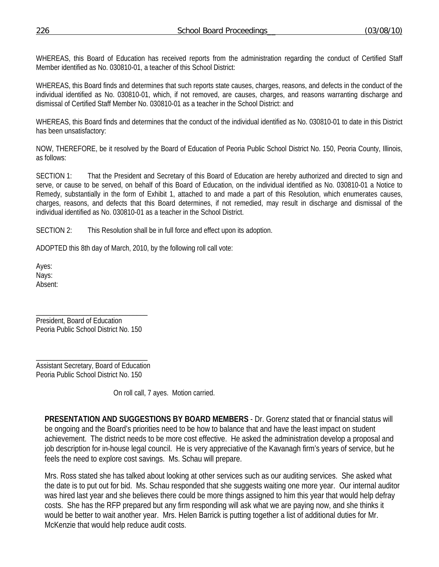WHEREAS, this Board of Education has received reports from the administration regarding the conduct of Certified Staff Member identified as No. 030810-01, a teacher of this School District:

WHEREAS, this Board finds and determines that such reports state causes, charges, reasons, and defects in the conduct of the individual identified as No. 030810-01, which, if not removed, are causes, charges, and reasons warranting discharge and dismissal of Certified Staff Member No. 030810-01 as a teacher in the School District: and

WHEREAS, this Board finds and determines that the conduct of the individual identified as No. 030810-01 to date in this District has been unsatisfactory:

NOW, THEREFORE, be it resolved by the Board of Education of Peoria Public School District No. 150, Peoria County, Illinois, as follows:

SECTION 1: That the President and Secretary of this Board of Education are hereby authorized and directed to sign and serve, or cause to be served, on behalf of this Board of Education, on the individual identified as No. 030810-01 a Notice to Remedy, substantially in the form of Exhibit 1, attached to and made a part of this Resolution, which enumerates causes, charges, reasons, and defects that this Board determines, if not remedied, may result in discharge and dismissal of the individual identified as No. 030810-01 as a teacher in the School District.

SECTION 2: This Resolution shall be in full force and effect upon its adoption.

ADOPTED this 8th day of March, 2010, by the following roll call vote:

Ayes: Nays: Absent:

President, Board of Education Peoria Public School District No. 150

\_\_\_\_\_\_\_\_\_\_\_\_\_\_\_\_\_\_\_\_\_\_\_\_\_\_\_\_\_\_\_

\_\_\_\_\_\_\_\_\_\_\_\_\_\_\_\_\_\_\_\_\_\_\_\_\_\_\_\_\_\_\_ Assistant Secretary, Board of Education Peoria Public School District No. 150

On roll call, 7 ayes. Motion carried.

**PRESENTATION AND SUGGESTIONS BY BOARD MEMBERS** - Dr. Gorenz stated that or financial status will be ongoing and the Board's priorities need to be how to balance that and have the least impact on student achievement. The district needs to be more cost effective. He asked the administration develop a proposal and job description for in-house legal council. He is very appreciative of the Kavanagh firm's years of service, but he feels the need to explore cost savings. Ms. Schau will prepare.

Mrs. Ross stated she has talked about looking at other services such as our auditing services. She asked what the date is to put out for bid. Ms. Schau responded that she suggests waiting one more year. Our internal auditor was hired last year and she believes there could be more things assigned to him this year that would help defray costs. She has the RFP prepared but any firm responding will ask what we are paying now, and she thinks it would be better to wait another year. Mrs. Helen Barrick is putting together a list of additional duties for Mr. McKenzie that would help reduce audit costs.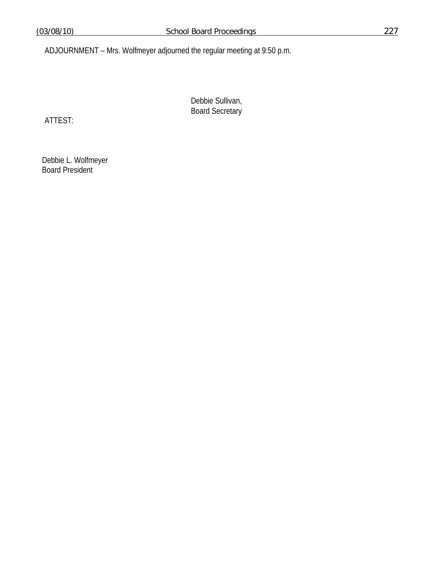ADJOURNMENT – Mrs. Wolfmeyer adjourned the regular meeting at 9:50 p.m.

Debbie Sullivan, Board Secretary

ATTEST:

 Debbie L. Wolfmeyer Board President